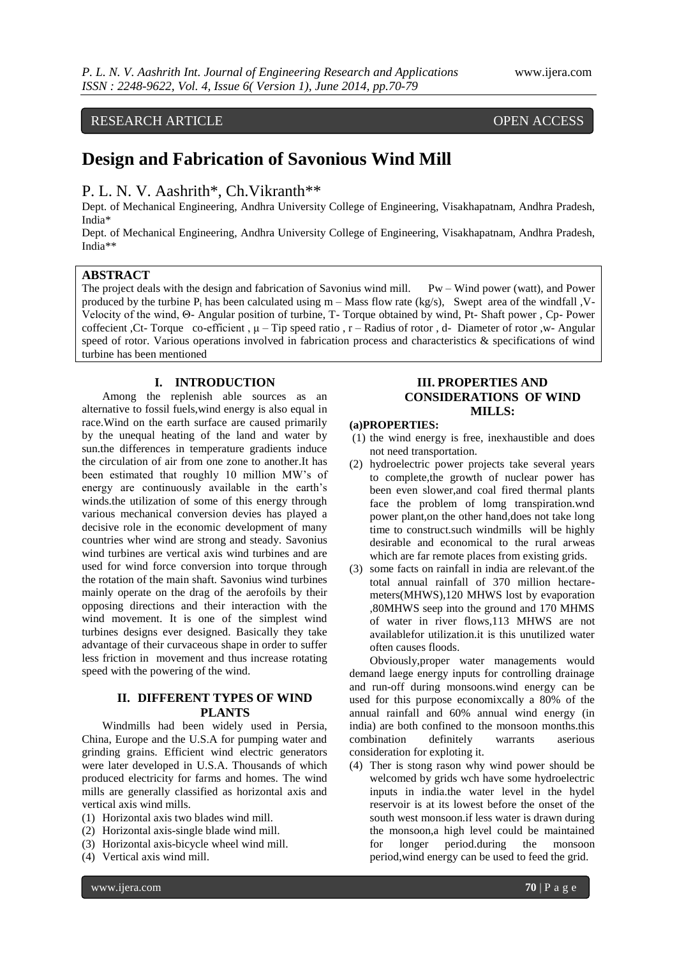# RESEARCH ARTICLE OPEN ACCESS

# **Design and Fabrication of Savonious Wind Mill**

# P. L. N. V. Aashrith\*, Ch. Vikranth\*\*

Dept. of Mechanical Engineering, Andhra University College of Engineering, Visakhapatnam, Andhra Pradesh, India\*

Dept. of Mechanical Engineering, Andhra University College of Engineering, Visakhapatnam, Andhra Pradesh, India\*\*

# **ABSTRACT**

The project deals with the design and fabrication of Savonius wind mill. Pw – Wind power (watt), and Power produced by the turbine  $P_t$  has been calculated using  $m - M$ ass flow rate (kg/s), Swept area of the windfall , V-Velocity of the wind, Θ- Angular position of turbine, T- Torque obtained by wind, Pt- Shaft power , Cp- Power coffecient ,Ct- Torque co-efficient , μ – Tip speed ratio , r – Radius of rotor , d- Diameter of rotor ,w- Angular speed of rotor. Various operations involved in fabrication process and characteristics & specifications of wind turbine has been mentioned

# **I. INTRODUCTION**

Among the replenish able sources as an alternative to fossil fuels,wind energy is also equal in race.Wind on the earth surface are caused primarily by the unequal heating of the land and water by sun.the differences in temperature gradients induce the circulation of air from one zone to another.It has been estimated that roughly 10 million MW's of energy are continuously available in the earth's winds.the utilization of some of this energy through various mechanical conversion devies has played a decisive role in the economic development of many countries wher wind are strong and steady. Savonius wind turbines are vertical axis wind turbines and are used for wind force conversion into torque through the rotation of the main shaft. Savonius wind turbines mainly operate on the drag of the aerofoils by their opposing directions and their interaction with the wind movement. It is one of the simplest wind turbines designs ever designed. Basically they take advantage of their curvaceous shape in order to suffer less friction in movement and thus increase rotating speed with the powering of the wind.

# **II. DIFFERENT TYPES OF WIND PLANTS**

Windmills had been widely used in Persia, China, Europe and the U.S.A for pumping water and grinding grains. Efficient wind electric generators were later developed in U.S.A. Thousands of which produced electricity for farms and homes. The wind mills are generally classified as horizontal axis and vertical axis wind mills.

- (1) Horizontal axis two blades wind mill.
- (2) Horizontal axis-single blade wind mill.
- (3) Horizontal axis-bicycle wheel wind mill.
- (4) Vertical axis wind mill.

# **III. PROPERTIES AND CONSIDERATIONS OF WIND MILLS:**

#### **(a)PROPERTIES:**

- (1) the wind energy is free, inexhaustible and does not need transportation.
- (2) hydroelectric power projects take several years to complete,the growth of nuclear power has been even slower,and coal fired thermal plants face the problem of lomg transpiration.wnd power plant,on the other hand,does not take long time to construct.such windmills will be highly desirable and economical to the rural arweas which are far remote places from existing grids.
- (3) some facts on rainfall in india are relevant.of the total annual rainfall of 370 million hectaremeters(MHWS),120 MHWS lost by evaporation ,80MHWS seep into the ground and 170 MHMS of water in river flows,113 MHWS are not availablefor utilization.it is this unutilized water often causes floods.

Obviously,proper water managements would demand laege energy inputs for controlling drainage and run-off during monsoons.wind energy can be used for this purpose economixcally a 80% of the annual rainfall and 60% annual wind energy (in india) are both confined to the monsoon months.this combination definitely warrants aserious consideration for exploting it.

(4) Ther is stong rason why wind power should be welcomed by grids wch have some hydroelectric inputs in india.the water level in the hydel reservoir is at its lowest before the onset of the south west monsoon.if less water is drawn during the monsoon,a high level could be maintained for longer period.during the monsoon period,wind energy can be used to feed the grid.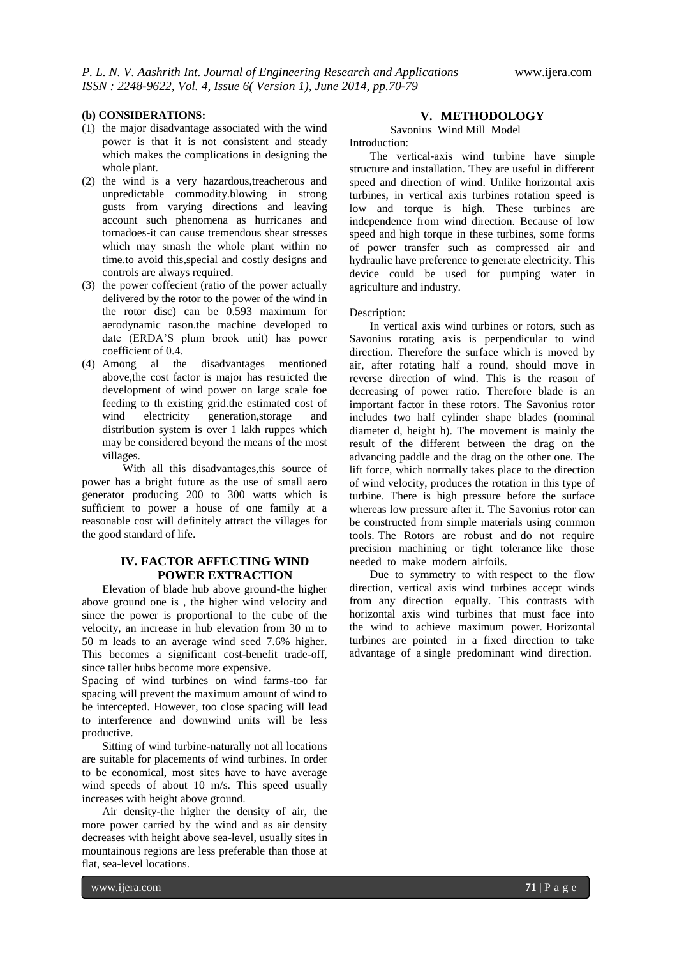#### **(b) CONSIDERATIONS:**

- (1) the major disadvantage associated with the wind power is that it is not consistent and steady which makes the complications in designing the whole plant.
- (2) the wind is a very hazardous,treacherous and unpredictable commodity.blowing in strong gusts from varying directions and leaving account such phenomena as hurricanes and tornadoes-it can cause tremendous shear stresses which may smash the whole plant within no time.to avoid this,special and costly designs and controls are always required.
- (3) the power coffecient (ratio of the power actually delivered by the rotor to the power of the wind in the rotor disc) can be 0.593 maximum for aerodynamic rason.the machine developed to date (ERDA'S plum brook unit) has power coefficient of 0.4.
- (4) Among al the disadvantages mentioned above,the cost factor is major has restricted the development of wind power on large scale foe feeding to th existing grid.the estimated cost of wind electricity generation, storage and distribution system is over 1 lakh ruppes which may be considered beyond the means of the most villages.

With all this disadvantages,this source of power has a bright future as the use of small aero generator producing 200 to 300 watts which is sufficient to power a house of one family at a reasonable cost will definitely attract the villages for the good standard of life.

# **IV. FACTOR AFFECTING WIND POWER EXTRACTION**

Elevation of blade hub above ground-the higher above ground one is , the higher wind velocity and since the power is proportional to the cube of the velocity, an increase in hub elevation from 30 m to 50 m leads to an average wind seed 7.6% higher. This becomes a significant cost-benefit trade-off, since taller hubs become more expensive.

Spacing of wind turbines on wind farms-too far spacing will prevent the maximum amount of wind to be intercepted. However, too close spacing will lead to interference and downwind units will be less productive.

Sitting of wind turbine-naturally not all locations are suitable for placements of wind turbines. In order to be economical, most sites have to have average wind speeds of about 10 m/s. This speed usually increases with height above ground.

Air density-the higher the density of air, the more power carried by the wind and as air density decreases with height above sea-level, usually sites in mountainous regions are less preferable than those at flat, sea-level locations.

# **V. METHODOLOGY**

Savonius Wind Mill Model Introduction:

The vertical-axis wind turbine have simple structure and installation. They are useful in different speed and direction of wind. Unlike horizontal axis turbines, in vertical axis turbines rotation speed is low and torque is high. These turbines are independence from wind direction. Because of low speed and high torque in these turbines, some forms of power transfer such as compressed air and hydraulic have preference to generate electricity. This device could be used for pumping water in agriculture and industry.

#### Description:

In vertical axis wind turbines or rotors, such as Savonius rotating axis is perpendicular to wind direction. Therefore the surface which is moved by air, after rotating half a round, should move in reverse direction of wind. This is the reason of decreasing of power ratio. Therefore blade is an important factor in these rotors. The Savonius rotor includes two half cylinder shape blades (nominal diameter d, height h). The movement is mainly the result of the different between the drag on the advancing paddle and the drag on the other one. The lift force, which normally takes place to the direction of wind velocity, produces the rotation in this type of turbine. There is high pressure before the surface whereas low pressure after it. The Savonius rotor can be constructed from simple materials using common tools. The Rotors are robust and do not require precision machining or tight tolerance like those needed to make modern airfoils.

Due to symmetry to with respect to the flow direction, vertical axis wind turbines accept winds from any direction equally. This contrasts with horizontal axis wind turbines that must face into the wind to achieve maximum power. Horizontal turbines are pointed in a fixed direction to take advantage of a single predominant wind direction.

www.ijera.com **71** | P a g e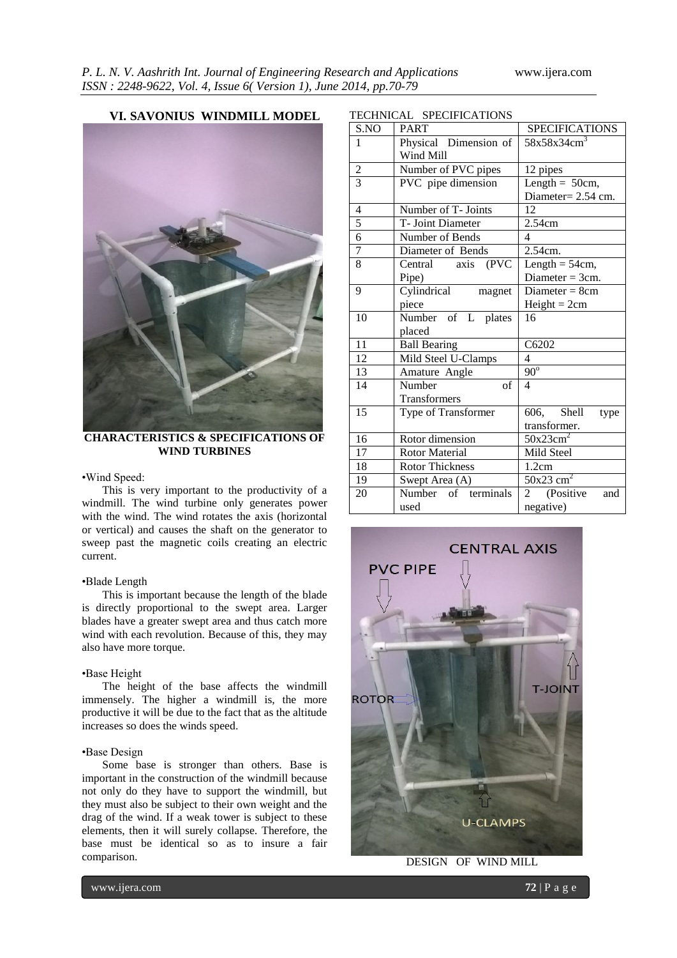**VI. SAVONIUS WINDMILL MODEL**



**CHARACTERISTICS & SPECIFICATIONS OF WIND TURBINES**

#### •Wind Speed:

This is very important to the productivity of a windmill. The wind turbine only generates power with the wind. The wind rotates the axis (horizontal or vertical) and causes the shaft on the generator to sweep past the magnetic coils creating an electric current.

### •Blade Length

This is important because the length of the blade is directly proportional to the swept area. Larger blades have a greater swept area and thus catch more wind with each revolution. Because of this, they may also have more torque.

#### •Base Height

The height of the base affects the windmill immensely. The higher a windmill is, the more productive it will be due to the fact that as the altitude increases so does the winds speed.

# •Base Design

Some base is stronger than others. Base is important in the construction of the windmill because not only do they have to support the windmill, but they must also be subject to their own weight and the drag of the wind. If a weak tower is subject to these elements, then it will surely collapse. Therefore, the base must be identical so as to insure a fair comparison.

| S.NO<br><b>SPECIFICATIONS</b><br><b>PART</b><br>$58x58x34cm^3$<br>Physical Dimension of<br>1<br>Wind Mill<br>$\overline{c}$<br>Number of PVC pipes<br>12 pipes<br>$\overline{3}$<br>PVC pipe dimension<br>Length = $50cm$ ,<br>Diameter= 2.54 cm.<br>Number of T- Joints<br>4<br>12<br>5<br>T- Joint Diameter<br>2.54cm<br>$\overline{6}$<br>Number of Bends<br>$\overline{\mathcal{L}}$<br>7<br>2.54cm.<br>Diameter of Bends<br>Central axis (PVC<br>8<br>Length $=$ 54cm,<br>Diameter = $3cm$ .<br>Pipe)<br>Cylindrical<br>9<br>Diameter $= 8cm$<br>magnet<br>$Height = 2cm$<br>piece<br>Number of L plates<br>10<br>16<br>placed<br>11<br><b>Ball Bearing</b><br>C6202<br>12<br>$\overline{\mathcal{L}}$<br>Mild Steel U-Clamps<br>$\overline{90^{\circ}}$<br>13<br>Amature Angle<br>14<br>Number<br>$\overline{4}$<br>of<br>Transformers<br>15<br>606, Shell<br>Type of Transformer<br>type<br>transformer.<br>$50x23cm^2$<br>Rotor dimension<br>16<br>17<br><b>Rotor Material</b><br>Mild Steel<br>18<br><b>Rotor Thickness</b><br>1.2cm<br>$50x23$ cm <sup>2</sup><br>19<br>Swept Area (A)<br>terminals<br>Number of<br>20<br>(Positive)<br>$\mathbf{2}$<br>and<br>used | IEUTINIUAL SPEUIFIUATIUNS |           |  |  |
|-------------------------------------------------------------------------------------------------------------------------------------------------------------------------------------------------------------------------------------------------------------------------------------------------------------------------------------------------------------------------------------------------------------------------------------------------------------------------------------------------------------------------------------------------------------------------------------------------------------------------------------------------------------------------------------------------------------------------------------------------------------------------------------------------------------------------------------------------------------------------------------------------------------------------------------------------------------------------------------------------------------------------------------------------------------------------------------------------------------------------------------------------------------------------------|---------------------------|-----------|--|--|
|                                                                                                                                                                                                                                                                                                                                                                                                                                                                                                                                                                                                                                                                                                                                                                                                                                                                                                                                                                                                                                                                                                                                                                               |                           |           |  |  |
|                                                                                                                                                                                                                                                                                                                                                                                                                                                                                                                                                                                                                                                                                                                                                                                                                                                                                                                                                                                                                                                                                                                                                                               |                           |           |  |  |
|                                                                                                                                                                                                                                                                                                                                                                                                                                                                                                                                                                                                                                                                                                                                                                                                                                                                                                                                                                                                                                                                                                                                                                               |                           |           |  |  |
|                                                                                                                                                                                                                                                                                                                                                                                                                                                                                                                                                                                                                                                                                                                                                                                                                                                                                                                                                                                                                                                                                                                                                                               |                           |           |  |  |
|                                                                                                                                                                                                                                                                                                                                                                                                                                                                                                                                                                                                                                                                                                                                                                                                                                                                                                                                                                                                                                                                                                                                                                               |                           |           |  |  |
|                                                                                                                                                                                                                                                                                                                                                                                                                                                                                                                                                                                                                                                                                                                                                                                                                                                                                                                                                                                                                                                                                                                                                                               |                           |           |  |  |
|                                                                                                                                                                                                                                                                                                                                                                                                                                                                                                                                                                                                                                                                                                                                                                                                                                                                                                                                                                                                                                                                                                                                                                               |                           |           |  |  |
|                                                                                                                                                                                                                                                                                                                                                                                                                                                                                                                                                                                                                                                                                                                                                                                                                                                                                                                                                                                                                                                                                                                                                                               |                           |           |  |  |
|                                                                                                                                                                                                                                                                                                                                                                                                                                                                                                                                                                                                                                                                                                                                                                                                                                                                                                                                                                                                                                                                                                                                                                               |                           |           |  |  |
|                                                                                                                                                                                                                                                                                                                                                                                                                                                                                                                                                                                                                                                                                                                                                                                                                                                                                                                                                                                                                                                                                                                                                                               |                           |           |  |  |
|                                                                                                                                                                                                                                                                                                                                                                                                                                                                                                                                                                                                                                                                                                                                                                                                                                                                                                                                                                                                                                                                                                                                                                               |                           |           |  |  |
|                                                                                                                                                                                                                                                                                                                                                                                                                                                                                                                                                                                                                                                                                                                                                                                                                                                                                                                                                                                                                                                                                                                                                                               |                           |           |  |  |
|                                                                                                                                                                                                                                                                                                                                                                                                                                                                                                                                                                                                                                                                                                                                                                                                                                                                                                                                                                                                                                                                                                                                                                               |                           |           |  |  |
|                                                                                                                                                                                                                                                                                                                                                                                                                                                                                                                                                                                                                                                                                                                                                                                                                                                                                                                                                                                                                                                                                                                                                                               |                           |           |  |  |
|                                                                                                                                                                                                                                                                                                                                                                                                                                                                                                                                                                                                                                                                                                                                                                                                                                                                                                                                                                                                                                                                                                                                                                               |                           |           |  |  |
|                                                                                                                                                                                                                                                                                                                                                                                                                                                                                                                                                                                                                                                                                                                                                                                                                                                                                                                                                                                                                                                                                                                                                                               |                           |           |  |  |
|                                                                                                                                                                                                                                                                                                                                                                                                                                                                                                                                                                                                                                                                                                                                                                                                                                                                                                                                                                                                                                                                                                                                                                               |                           |           |  |  |
|                                                                                                                                                                                                                                                                                                                                                                                                                                                                                                                                                                                                                                                                                                                                                                                                                                                                                                                                                                                                                                                                                                                                                                               |                           |           |  |  |
|                                                                                                                                                                                                                                                                                                                                                                                                                                                                                                                                                                                                                                                                                                                                                                                                                                                                                                                                                                                                                                                                                                                                                                               |                           |           |  |  |
|                                                                                                                                                                                                                                                                                                                                                                                                                                                                                                                                                                                                                                                                                                                                                                                                                                                                                                                                                                                                                                                                                                                                                                               |                           |           |  |  |
|                                                                                                                                                                                                                                                                                                                                                                                                                                                                                                                                                                                                                                                                                                                                                                                                                                                                                                                                                                                                                                                                                                                                                                               |                           |           |  |  |
|                                                                                                                                                                                                                                                                                                                                                                                                                                                                                                                                                                                                                                                                                                                                                                                                                                                                                                                                                                                                                                                                                                                                                                               |                           |           |  |  |
|                                                                                                                                                                                                                                                                                                                                                                                                                                                                                                                                                                                                                                                                                                                                                                                                                                                                                                                                                                                                                                                                                                                                                                               |                           |           |  |  |
|                                                                                                                                                                                                                                                                                                                                                                                                                                                                                                                                                                                                                                                                                                                                                                                                                                                                                                                                                                                                                                                                                                                                                                               |                           |           |  |  |
|                                                                                                                                                                                                                                                                                                                                                                                                                                                                                                                                                                                                                                                                                                                                                                                                                                                                                                                                                                                                                                                                                                                                                                               |                           |           |  |  |
|                                                                                                                                                                                                                                                                                                                                                                                                                                                                                                                                                                                                                                                                                                                                                                                                                                                                                                                                                                                                                                                                                                                                                                               |                           |           |  |  |
|                                                                                                                                                                                                                                                                                                                                                                                                                                                                                                                                                                                                                                                                                                                                                                                                                                                                                                                                                                                                                                                                                                                                                                               |                           |           |  |  |
|                                                                                                                                                                                                                                                                                                                                                                                                                                                                                                                                                                                                                                                                                                                                                                                                                                                                                                                                                                                                                                                                                                                                                                               |                           |           |  |  |
|                                                                                                                                                                                                                                                                                                                                                                                                                                                                                                                                                                                                                                                                                                                                                                                                                                                                                                                                                                                                                                                                                                                                                                               |                           | negative) |  |  |

 $CDPOTPTCATIONIQ$ 



DESIGN OF WIND MILL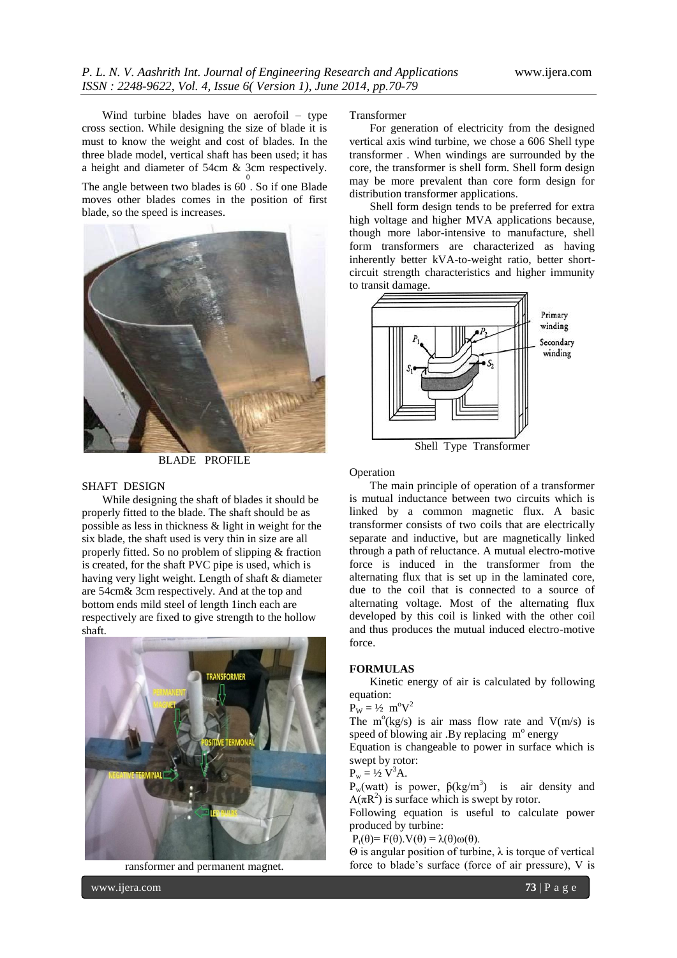Wind turbine blades have on aerofoil – type cross section. While designing the size of blade it is must to know the weight and cost of blades. In the three blade model, vertical shaft has been used; it has a height and diameter of 54cm & 3cm respectively.

The angle between two blades is  $60^{\circ}$ . So if one Blade moves other blades comes in the position of first blade, so the speed is increases.



BLADE PROFILE

#### SHAFT DESIGN

While designing the shaft of blades it should be properly fitted to the blade. The shaft should be as possible as less in thickness & light in weight for the six blade, the shaft used is very thin in size are all properly fitted. So no problem of slipping & fraction is created, for the shaft PVC pipe is used, which is having very light weight. Length of shaft & diameter are 54cm& 3cm respectively. And at the top and bottom ends mild steel of length 1inch each are respectively are fixed to give strength to the hollow shaft.



ransformer and permanent magnet.

Transformer

For generation of electricity from the designed vertical axis wind turbine, we chose a 606 Shell type transformer . When windings are surrounded by the core, the transformer is shell form. Shell form design may be more prevalent than core form design for distribution transformer applications.

Shell form design tends to be preferred for extra high voltage and higher MVA applications because, though more labor-intensive to manufacture, shell form transformers are characterized as having inherently better kVA-to-weight ratio, better shortcircuit strength characteristics and higher immunity to transit damage.



Operation

The main principle of operation of a transformer is mutual inductance between two circuits which is linked by a common magnetic flux. A basic transformer consists of two coils that are electrically separate and inductive, but are magnetically linked through a path of reluctance. A mutual electro-motive force is induced in the transformer from the alternating flux that is set up in the laminated core, due to the coil that is connected to a source of alternating voltage. Most of the alternating flux developed by this coil is linked with the other coil and thus produces the mutual induced electro-motive force.

#### **FORMULAS**

Kinetic energy of air is calculated by following equation:

 $\vec{P_W} = \frac{1}{2} \text{ m}^{\circ} \text{V}^2$ 

The  $m^{\circ}$ (kg/s) is air mass flow rate and  $V(m/s)$  is speed of blowing air .By replacing  $m^{\circ}$  energy

Equation is changeable to power in surface which is swept by rotor:

$$
P_w = \frac{1}{2} V^3 A.
$$

 $P_w(watt)$  is power,  $\beta(kg/m^3)$  is air density and  $A(\pi R^2)$  is surface which is swept by rotor.

Following equation is useful to calculate power produced by turbine:

 $P_t(\theta) = F(\theta) \cdot V(\theta) = \lambda(\theta) \omega(\theta).$ 

Θ is angular position of turbine, λ is torque of vertical force to blade's surface (force of air pressure), V is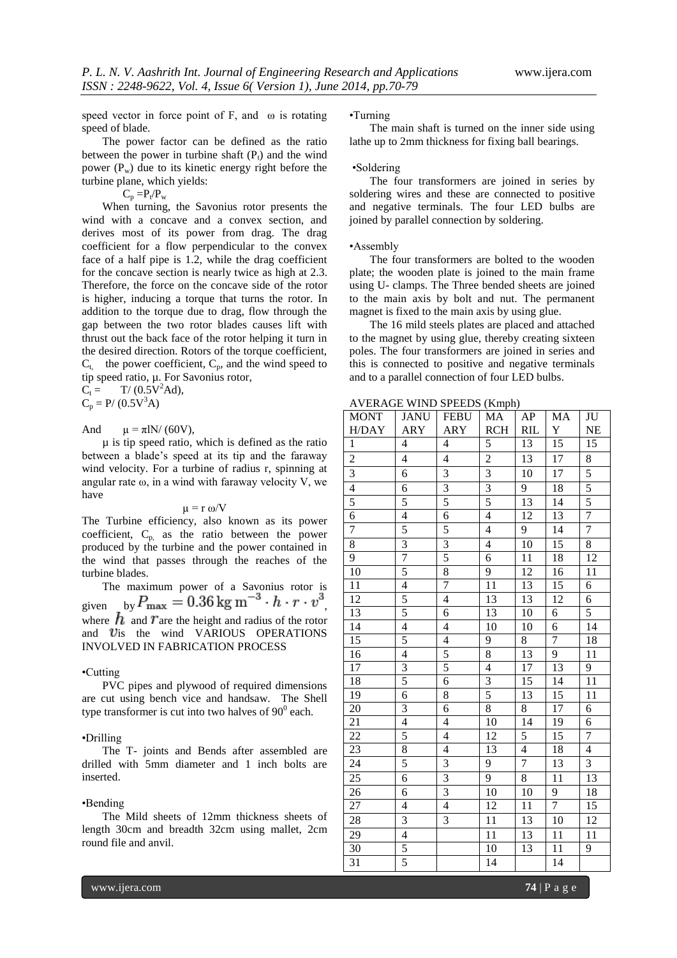speed vector in force point of F, and  $\omega$  is rotating speed of blade.

The power factor can be defined as the ratio between the power in turbine shaft  $(P_t)$  and the wind power  $(P_w)$  due to its kinetic energy right before the turbine plane, which yields:

 $C_p = P_t/P_w$ 

When turning, the Savonius rotor presents the wind with a concave and a convex section, and derives most of its power from drag. The drag coefficient for a flow perpendicular to the convex face of a half pipe is 1.2, while the drag coefficient for the concave section is nearly twice as high at 2.3. Therefore, the force on the concave side of the rotor is higher, inducing a torque that turns the rotor. In addition to the torque due to drag, flow through the gap between the two rotor blades causes lift with thrust out the back face of the rotor helping it turn in the desired direction. Rotors of the torque coefficient,  $C_t$ , the power coefficient,  $C_p$ , and the wind speed to tip speed ratio, µ. For Savonius rotor,

 $C_t = T/(0.5V^2Ad)$ ,  $C_p = P/(0.5V^3A)$ 

And  $\mu = \pi IN/(60V)$ ,

µ is tip speed ratio, which is defined as the ratio between a blade's speed at its tip and the faraway wind velocity. For a turbine of radius r, spinning at angular rate  $\omega$ , in a wind with faraway velocity V, we have

### $\mu = r \omega/V$

The Turbine efficiency, also known as its power coefficient,  $C_{p}$ , as the ratio between the power produced by the turbine and the power contained in the wind that passes through the reaches of the turbine blades.

The maximum power of a Savonius rotor is given by  $F_{\text{max}} = 0.30 \text{ kg m} \cdot h \cdot r \cdot v$ , where  $\overrightarrow{h}$  and T are the height and radius of the rotor and  $v$ is the wind VARIOUS OPERATIONS INVOLVED IN FABRICATION PROCESS

#### •Cutting

PVC pipes and plywood of required dimensions are cut using bench vice and handsaw. The Shell type transformer is cut into two halves of  $90^0$  each.

#### •Drilling

The T- joints and Bends after assembled are drilled with 5mm diameter and 1 inch bolts are inserted.

#### •Bending

The Mild sheets of 12mm thickness sheets of length 30cm and breadth 32cm using mallet, 2cm round file and anvil.

#### •Turning

The main shaft is turned on the inner side using lathe up to 2mm thickness for fixing ball bearings.

#### •Soldering

The four transformers are joined in series by soldering wires and these are connected to positive and negative terminals. The four LED bulbs are joined by parallel connection by soldering.

#### •Assembly

The four transformers are bolted to the wooden plate; the wooden plate is joined to the main frame using U- clamps. The Three bended sheets are joined to the main axis by bolt and nut. The permanent magnet is fixed to the main axis by using glue.

The 16 mild steels plates are placed and attached to the magnet by using glue, thereby creating sixteen poles. The four transformers are joined in series and this is connected to positive and negative terminals and to a parallel connection of four LED bulbs.

AVERAGE WIND SPEEDS (Kmph)

| <b>MONT</b>             | <b>JANU</b>              | <b>FEBU</b>             | MA                      | AP              | MA              | $\rm JU$        |
|-------------------------|--------------------------|-------------------------|-------------------------|-----------------|-----------------|-----------------|
| H/DAY                   | ARY                      | <b>ARY</b>              | <b>RCH</b>              | <b>RIL</b>      | $\mathbf Y$     | NE              |
| $\mathbf{1}$            | 4                        | 4                       | 5                       | 13              | 15              | $\overline{15}$ |
| $\overline{c}$          | $\overline{4}$           | $\overline{4}$          | $\overline{2}$          | 13              | 17              | 8               |
| $\overline{\mathbf{3}}$ | 6                        | 3                       | 3                       | 10              | 17              | $\overline{5}$  |
| $\overline{4}$          | $\overline{6}$           | $\overline{3}$          | $\overline{3}$          | $\overline{9}$  | 18              | 5               |
| 5                       | 5                        | 5                       | 5                       | $\overline{13}$ | $1\overline{4}$ | 5               |
| $\overline{6}$          | $\overline{4}$           | $\overline{6}$          | $\overline{4}$          | 12              | 13              | 7               |
| 7                       | 5                        | 5                       | $\overline{\mathbf{4}}$ | 9               | 14              | $\overline{7}$  |
| $\overline{8}$          | $\overline{3}$           | $\overline{3}$          | $\overline{4}$          | 10              | $\overline{15}$ | 8               |
| $\overline{9}$          | 7                        | $\overline{5}$          | $\overline{6}$          | 11              | 18              | $\overline{12}$ |
| 10                      | 5                        | 8                       | 9                       | 12              | 16              | 11              |
| 11                      | $\overline{4}$           | 7                       | 11                      | 13              | 15              | 6               |
| 12                      | $\frac{5}{5}$            | $\overline{4}$          | 13                      | 13              | 12              | 6               |
| 13                      |                          | 6                       | $\overline{13}$         | 10              | 6               | 5               |
| 14                      | $\overline{4}$           | $\overline{4}$          | $\overline{10}$         | 10              | $\overline{6}$  | 14              |
| 15                      | 5                        | $\overline{4}$          | 9                       | $\overline{8}$  | $\overline{7}$  | 18              |
| 16                      | $\overline{4}$           | $\overline{5}$          | $\overline{8}$          | 13              | $\overline{9}$  | $\overline{11}$ |
| $\overline{17}$         | $\frac{3}{5}$            | $\overline{5}$          | 4                       | $\overline{17}$ | $\overline{13}$ | 9               |
| 18                      |                          | $\overline{6}$          | $\overline{3}$          | 15              | $\overline{14}$ | $\overline{11}$ |
| $\overline{19}$         | $\overline{6}$           | $\overline{8}$          | 5                       | 13              | $\overline{15}$ | 11              |
| 20                      | $\overline{\mathbf{3}}$  | $\overline{6}$          | $\overline{8}$          | $\overline{8}$  | 17              | $\overline{6}$  |
| 21                      | $\overline{4}$           | $\overline{4}$          | 10                      | 14              | $\overline{19}$ | 6               |
| $\overline{22}$         | 5                        | $\overline{4}$          | 12                      | 5               | $\overline{15}$ | $\overline{7}$  |
| 23                      | 8                        | $\overline{4}$          | $\overline{13}$         | $\overline{4}$  | 18              | $\overline{4}$  |
| $\overline{24}$         | 5                        | $\overline{3}$          | $\overline{9}$          | 7               | $1\overline{3}$ | $\overline{3}$  |
| 25                      | 6                        | $\overline{\mathbf{3}}$ | 9                       | $\overline{8}$  | $1\overline{1}$ | 13              |
| 26                      | 6                        | $\overline{\mathbf{3}}$ | 10                      | 10              | 9               | 18              |
| 27                      | $\overline{\mathcal{L}}$ | $\overline{4}$          | 12                      | 11              | 7               | $\overline{15}$ |
| 28                      | $\overline{\mathbf{3}}$  | $\overline{3}$          | 11                      | 13              | 10              | $\overline{12}$ |
| 29                      | $\overline{4}$           |                         | 11                      | 13              | 11              | 11              |
| 30                      | $\overline{5}$           |                         | 10                      | 13              | 11              | 9               |
| 31                      | 5                        |                         | 14                      |                 | 14              |                 |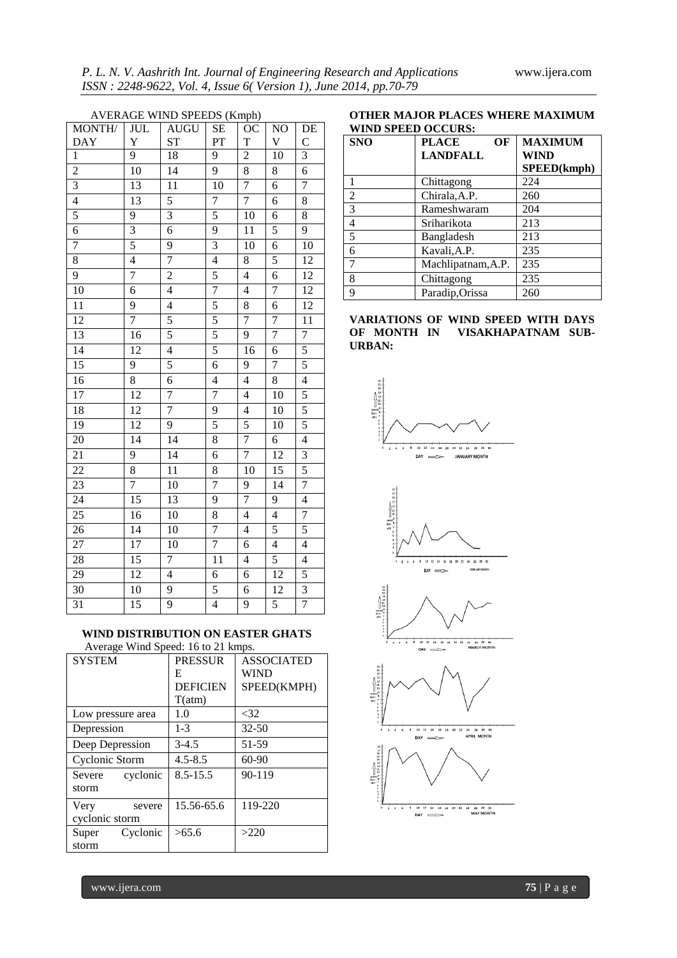| <b>AVERAGE WIND SPEEDS (Kmph)</b> |                 |                         |                |                 |                 |                 |
|-----------------------------------|-----------------|-------------------------|----------------|-----------------|-----------------|-----------------|
| MONTH/                            | <b>JUL</b>      | <b>AUGU</b>             | <b>SE</b>      | $O\overline{C}$ | $\overline{NO}$ | DE              |
| <b>DAY</b>                        | Y               | <b>ST</b>               | PT             | T               | V               | $\mathbf C$     |
| $\mathbf{1}$                      | 9               | 18                      | 9              | $\overline{c}$  | 10              | $\overline{3}$  |
| $\overline{2}$                    | $\overline{10}$ | $\overline{14}$         | $\overline{9}$ | $\overline{8}$  | 8               | $\overline{6}$  |
| $\overline{3}$                    | 13              | $\overline{11}$         | 10             | 7               | $\overline{6}$  | $\overline{7}$  |
| $\overline{4}$                    | 13              | 5                       | $\overline{7}$ | 7               | 6               | $\overline{8}$  |
| $\overline{5}$                    | 9               | $\overline{\mathbf{3}}$ | 5              | 10              | 6               | $\overline{8}$  |
| 6                                 | $\overline{3}$  | 6                       | $\overline{9}$ | 11              | 5               | $\overline{9}$  |
| $\overline{7}$                    | $\overline{5}$  | 9                       | $\overline{3}$ | 10              | 6               | 10              |
| 8                                 | $\overline{4}$  | 7                       | $\overline{4}$ | 8               | 5               | $\overline{12}$ |
| 9                                 | $\overline{7}$  | $\overline{2}$          | $\overline{5}$ | $\overline{4}$  | 6               | 12              |
| 10                                | 6               | $\overline{4}$          | $\overline{7}$ | $\overline{4}$  | $\overline{7}$  | $\overline{12}$ |
| 11                                | 9               | 4                       | $\overline{5}$ | 8               | 6               | 12              |
| 12                                | $\overline{7}$  | 5                       | $\overline{5}$ | 7               | 7               | 11              |
| 13                                | 16              | 5                       | 5              | 9               | $\overline{7}$  | $\overline{7}$  |
| 14                                | 12              | $\overline{4}$          | 5              | 16              | 6               | 5               |
| $\overline{15}$                   | 9               | 5                       | $\overline{6}$ | 9               | $\overline{7}$  | 5               |
| 16                                | 8               | 6                       | $\overline{4}$ | $\overline{4}$  | 8               | $\overline{4}$  |
| $\overline{17}$                   | 12              | 7                       | $\overline{7}$ | $\overline{4}$  | 10              | 5               |
| $\overline{18}$                   | $\overline{12}$ | 7                       | $\overline{9}$ | $\overline{4}$  | $\overline{10}$ | $\overline{5}$  |
| 19                                | $\overline{12}$ | 9                       | $\overline{5}$ | $\overline{5}$  | 10              | 5               |
| $20\,$                            | 14              | 14                      | $\overline{8}$ | 7               | 6               | $\overline{4}$  |
| 21                                | 9               | 14                      | 6              | $\overline{7}$  | 12              | 3               |
| $\overline{22}$                   | $\overline{8}$  | $\overline{11}$         | 8              | 10              | 15              | 5               |
| 23                                | $\overline{7}$  | 10                      | $\overline{7}$ | 9               | 14              | $\overline{7}$  |
| 24                                | 15              | 13                      | 9              | 7               | 9               | $\overline{4}$  |
| 25                                | 16              | 10                      | $\overline{8}$ | $\overline{4}$  | $\overline{4}$  | $\overline{7}$  |
| 26                                | $\overline{14}$ | $\overline{10}$         | 7              | $\overline{4}$  | 5               | 5               |
| 27                                | 17              | 10                      | $\overline{7}$ | 6               | $\overline{4}$  | $\overline{4}$  |
| 28                                | $\overline{15}$ | 7                       | 11             | $\overline{4}$  | $\overline{5}$  | $\overline{4}$  |
| 29                                | $\overline{12}$ | $\overline{4}$          | 6              | 6               | 12              | 5               |
| 30                                | $\overline{10}$ | $\overline{9}$          | 5              | 6               | $\overline{12}$ | 3               |
| 31                                | 15              | $\overline{9}$          | $\overline{4}$ | 9               | 5               | $\overline{7}$  |
|                                   |                 |                         |                |                 |                 |                 |

# **WIND DISTRIBUTION ON EASTER GHATS**

Average Wind Speed: 16 to 21 kmps.

| <b>SYSTEM</b>      | <b>PRESSUR</b>  | <b>ASSOCIATED</b> |
|--------------------|-----------------|-------------------|
|                    | E               | WIND              |
|                    | <b>DEFICIEN</b> | SPEED(KMPH)       |
|                    | T(atm)          |                   |
| Low pressure area  | 1.0             | $<$ 32            |
| Depression         | $1-3$           | $32 - 50$         |
| Deep Depression    | $3-4.5$         | 51-59             |
| Cyclonic Storm     | $4.5 - 8.5$     | $60-90$           |
| cyclonic<br>Severe | $8.5 - 15.5$    | 90-119            |
| storm              |                 |                   |
| Very<br>severe     | 15.56-65.6      | 119-220           |
| cyclonic storm     |                 |                   |
| Cyclonic<br>Super  | >65.6           | >220              |
| storm              |                 |                   |

| OTHER MAJOR PLACES WHERE MAXIMUM |
|----------------------------------|
| <b>WIND SPEED OCCURS:</b>        |

| <b>SNO</b>     | <b>PLACE</b><br>OF<br><b>LANDFALL</b> | <b>MAXIMUM</b><br>WIND |
|----------------|---------------------------------------|------------------------|
|                |                                       | SPEED(kmph)            |
|                | Chittagong                            | 224                    |
| $\overline{c}$ | Chirala, A.P.                         | 260                    |
| 3              | Rameshwaram                           | 204                    |
| 4              | Sriharikota                           | 213                    |
| 5              | Bangladesh                            | 213                    |
| 6              | Kavali, A.P.                          | 235                    |
| 7              | Machlipatnam, A.P.                    | 235                    |
| 8              | Chittagong                            | 235                    |
| 9              | Paradip, Orissa                       | 260                    |

# **VARIATIONS OF WIND SPEED WITH DAYS OF MONTH IN VISAKHAPATNAM SUB-URBAN:**









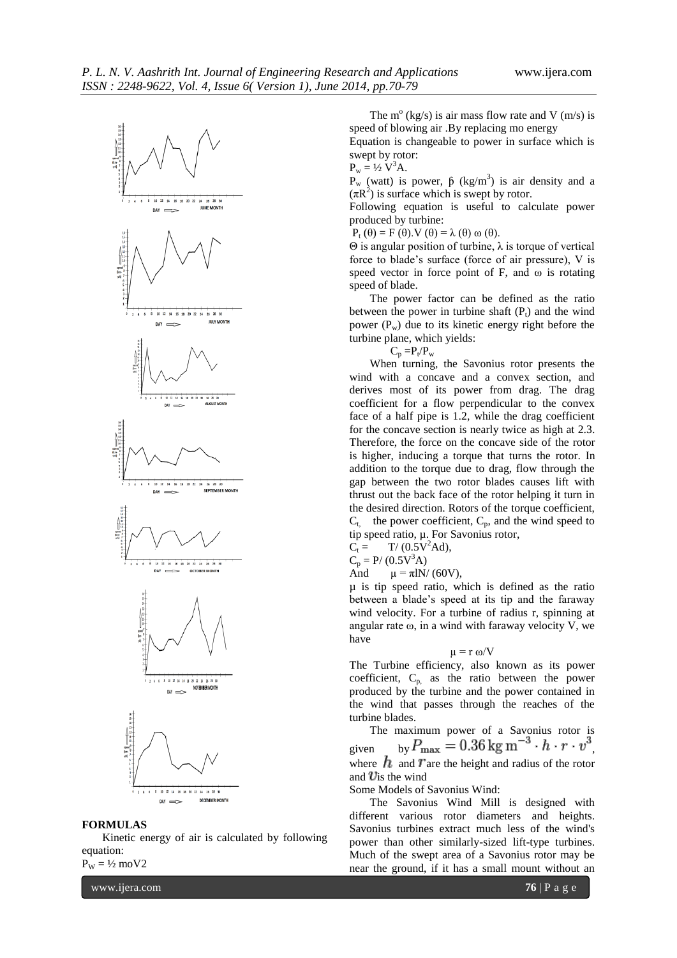

#### **FORMULAS**

Kinetic energy of air is calculated by following equation:

 $P_W = \frac{1}{2}$  moV2

www.ijera.com **76** | P a g e

The  $m^{\circ}$  (kg/s) is air mass flow rate and V (m/s) is speed of blowing air .By replacing mo energy

Equation is changeable to power in surface which is swept by rotor:

 $P_w = \frac{1}{2} V^3 A$ .

 $P_w$  (watt) is power,  $\beta$  (kg/m<sup>3</sup>) is air density and a  $(\pi R^2)$  is surface which is swept by rotor.

Following equation is useful to calculate power produced by turbine:

 $P_t(\theta) = F(\theta) \cdot V(\theta) = \lambda(\theta) \omega(\theta).$ 

Θ is angular position of turbine, λ is torque of vertical force to blade's surface (force of air pressure), V is speed vector in force point of F, and  $\omega$  is rotating speed of blade.

The power factor can be defined as the ratio between the power in turbine shaft  $(P_t)$  and the wind power  $(P_w)$  due to its kinetic energy right before the turbine plane, which yields:

| × |  |
|---|--|

When turning, the Savonius rotor presents the wind with a concave and a convex section, and derives most of its power from drag. The drag coefficient for a flow perpendicular to the convex face of a half pipe is 1.2, while the drag coefficient for the concave section is nearly twice as high at 2.3. Therefore, the force on the concave side of the rotor is higher, inducing a torque that turns the rotor. In addition to the torque due to drag, flow through the gap between the two rotor blades causes lift with thrust out the back face of the rotor helping it turn in the desired direction. Rotors of the torque coefficient,  $C_t$ , the power coefficient,  $C_p$ , and the wind speed to tip speed ratio, µ. For Savonius rotor,  $C_t = T/(0.5V^2 \text{Ad}),$ 

 $C_p = P/(0.5V^3A)$ 

And  $\mu = \pi l N / (60 V)$ ,

µ is tip speed ratio, which is defined as the ratio between a blade's speed at its tip and the faraway wind velocity. For a turbine of radius r, spinning at angular rate  $\omega$ , in a wind with faraway velocity V, we have

$$
\mu=r\;\omega/V
$$

The Turbine efficiency, also known as its power coefficient,  $C_{p}$  as the ratio between the power produced by the turbine and the power contained in the wind that passes through the reaches of the turbine blades.

The maximum power of a Savonius rotor is given by  $F_{\text{max}} = 0.30 \text{ kg m} \cdot h \cdot r \cdot v$ , where  $\hbar$  and T are the height and radius of the rotor and *is the wind* 

Some Models of Savonius Wind:

The Savonius Wind Mill is designed with different various rotor diameters and heights. Savonius turbines extract much less of the wind's [power](http://en.wikipedia.org/wiki/Wind_power) than other similarly-sized lift-type turbines. Much of the swept area of a Savonius rotor may be near the ground, if it has a small mount without an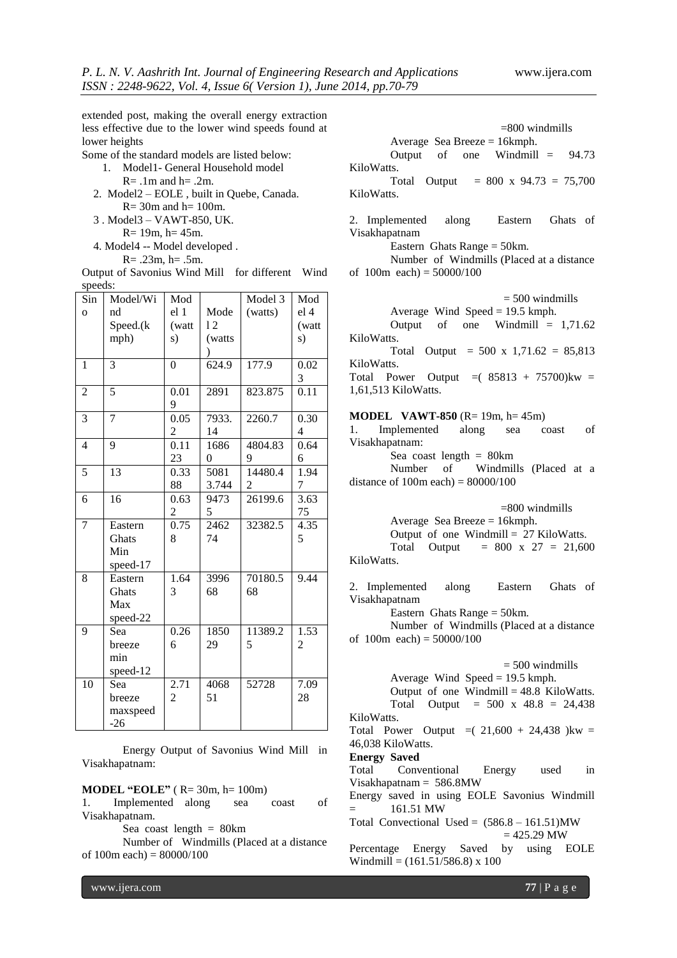extended post, making the overall energy extraction less effective due to the lower wind speeds found at lower heights

Some of the standard models are listed below:

- 1. Model1- General Household model  $R = .1m$  and  $h = .2m$ .
- 2. Model2 EOLE , built in Quebe, Canada.  $R = 30m$  and  $h = 100m$ .

3 . Model3 – VAWT-850, UK.

- $R = 19m$ ,  $h = 45m$ .
- 4. Model4 -- Model developed .

 $R = .23m$ ,  $h = .5m$ .

Output of Savonius Wind Mill for different Wind speeds:

| Sin             | Model/Wi       | Mod             |                | Model 3        | Mod             |
|-----------------|----------------|-----------------|----------------|----------------|-----------------|
| $\overline{O}$  | nd             | el <sub>1</sub> | Mode           | (watts)        | el <sub>4</sub> |
|                 | Speed.(k       | (watt           | 12             |                | (watt           |
|                 | mph)           | s)              | (watts)        |                | s)              |
|                 |                |                 |                |                |                 |
| 1               | $\overline{3}$ | $\overline{0}$  | 624.9          | 177.9          | 0.02            |
|                 |                |                 |                |                | 3               |
| $\overline{c}$  | 5              | 0.01            | 2891           | 823.875        | 0.11            |
|                 |                | 9               |                |                |                 |
| 3               | 7              | 0.05            | 7933.          | 2260.7         | 0.30            |
|                 |                | 2               | 14             |                | $\overline{4}$  |
| $\overline{4}$  | 9              | 0.11            | 1686           | 4804.83        | 0.64            |
|                 |                | 23              | $\overline{0}$ | 9              | 6               |
| 5               | 13             | 0.33            | 5081           | 14480.4        | 1.94            |
|                 |                | 88              | 3.744          | $\overline{2}$ | 7               |
| 6               | 16             | 0.63            | 9473           | 26199.6        | 3.63            |
|                 |                | 2               | 5              |                | 75              |
| $\overline{7}$  | Eastern        | 0.75            | 2462           | 32382.5        | 4.35            |
|                 | Ghats          | 8               | 74             |                | 5               |
|                 | Min            |                 |                |                |                 |
|                 | speed-17       |                 |                |                |                 |
| 8               | Eastern        | 1.64            | 3996           | 70180.5        | 9.44            |
|                 | Ghats          | 3               | 68             | 68             |                 |
|                 | Max            |                 |                |                |                 |
|                 | speed-22       |                 |                |                |                 |
| 9               | Sea            | 0.26            | 1850           | 11389.2        | 1.53            |
|                 | breeze         | 6               | 29             | 5              | 2               |
|                 | min            |                 |                |                |                 |
|                 | speed-12       |                 |                |                |                 |
| $\overline{10}$ | Sea            | 2.71            | 4068           | 52728          | 7.09            |
|                 | breeze         | $\overline{c}$  | 51             |                | 28              |
|                 | maxspeed       |                 |                |                |                 |
|                 | $-26$          |                 |                |                |                 |

Energy Output of Savonius Wind Mill in Visakhapatnam:

# **MODEL "EOLE"** ( R= 30m, h= 100m)

1. Implemented along sea coast of Visakhapatnam.

Sea coast length  $= 80$ km

Number of Windmills (Placed at a distance of  $100m$  each) =  $80000/100$ 

 =800 windmills Average Sea Breeze = 16kmph. Output of one Windmill = 94.73

KiloWatts.

Total Output =  $800 \times 94.73 = 75,700$ KiloWatts.

2. Implemented along Eastern Ghats of Visakhapatnam

Eastern Ghats Range = 50km.

Number of Windmills (Placed at a distance of  $100m$  each) =  $50000/100$ 

|  | $=$ 500 windmills                  |  |
|--|------------------------------------|--|
|  | Average Wind Speed = $19.5$ kmph.  |  |
|  | Output of one Windmill = $1,71.62$ |  |

KiloWatts. Total Output =  $500 \times 1,71.62 = 85,813$ 

KiloWatts.

Total Power Output  $=(85813 + 75700)$ kw = 1,61,513 KiloWatts.

#### **MODEL VAWT-850** (R= 19m, h= 45m)

1. Implemented along sea coast of Visakhapatnam:

Sea coast length  $= 80 \text{km}$ 

Number of Windmills (Placed at a distance of  $100m$  each) =  $80000/100$ 

|                                 | $= 800$ windmills                        |
|---------------------------------|------------------------------------------|
| Average Sea Breeze = $16$ kmph. |                                          |
|                                 | Output of one Windmill = $27$ KiloWatts. |
|                                 | Total Output = $800 \times 27 = 21,600$  |
| KiloWatts.                      |                                          |

2. Implemented along Eastern Ghats of Visakhapatnam

Eastern Ghats Range = 50km.

Number of Windmills (Placed at a distance of  $100m$  each) =  $50000/100$ 

| $= 500$ windmills                               |
|-------------------------------------------------|
| Average Wind Speed = $19.5$ kmph.               |
| Output of one Windmill = $48.8$ KiloWatts.      |
| Total Output = $500 \times 48.8 = 24,438$       |
| KiloWatts.                                      |
| Total Power Output $=(21,600 + 24,438)$ kw =    |
| 46,038 KiloWatts.                               |
| <b>Energy Saved</b>                             |
| Total Conventional Energy<br>used<br>in         |
| $Visual$ hapatnam = 586.8MW                     |
| Energy saved in using EOLE Savonius Windmill    |
| 161.51 MW<br>$=$ $-$                            |
| Total Convectional Used = $(586.8 - 161.51)$ MW |
| $= 425.29$ MW                                   |

Percentage Energy Saved by using EOLE Windmill =  $(161.51/586.8)$  x 100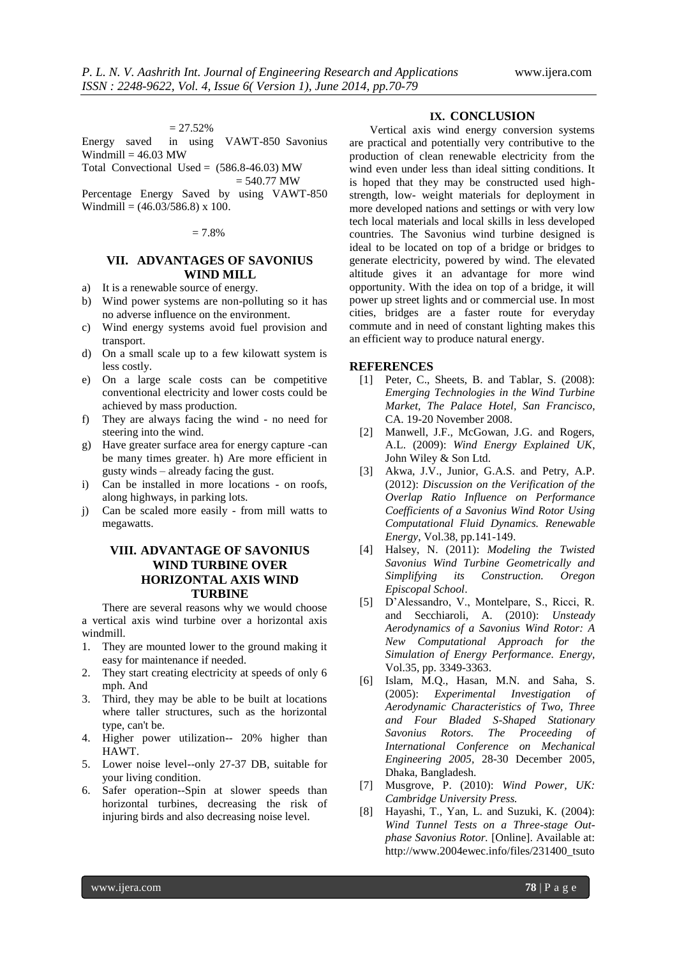#### $= 27.52\%$

Energy saved in using VAWT-850 Savonius Windmill  $= 46.03$  MW

Total Convectional Used =  $(586.8-46.03)$  MW  $= 540.77$  MW

Percentage Energy Saved by using VAWT-850 Windmill =  $(46.03/586.8)$  x 100.

#### $= 7.8%$

# **VII. ADVANTAGES OF SAVONIUS WIND MILL**

- a) It is a renewable source of energy.
- b) Wind power systems are non-polluting so it has no adverse influence on the environment.
- c) Wind energy systems avoid fuel provision and transport.
- d) On a small scale up to a few kilowatt system is less costly.
- e) On a large scale costs can be competitive conventional electricity and lower costs could be achieved by mass production.
- f) They are always facing the wind no need for steering into the wind.
- g) Have greater surface area for energy capture -can be many times greater. h) Are more efficient in gusty winds – already facing the gust.
- i) Can be installed in more locations on roofs, along highways, in parking lots.
- j) Can be scaled more easily from mill watts to megawatts.

# **VIII. ADVANTAGE OF SAVONIUS WIND TURBINE OVER HORIZONTAL AXIS WIND TURBINE**

There are several reasons why we would choose a vertical axis wind turbine over a horizontal axis windmill.

- 1. They are mounted lower to the ground making it easy for maintenance if needed.
- 2. They start creating electricity at speeds of only 6 mph. And
- 3. Third, they may be able to be built at locations where taller structures, such as the horizontal type, can't be.
- 4. Higher power utilization-- 20% higher than HAWT.
- 5. Lower noise level--only 27-37 DB, suitable for your living condition.
- 6. Safer operation--Spin at slower speeds than horizontal turbines, decreasing the risk of injuring birds and also decreasing noise level.

# **IX. CONCLUSION**

Vertical axis wind energy conversion systems are practical and potentially very contributive to the production of clean renewable electricity from the wind even under less than ideal sitting conditions. It is hoped that they may be constructed used highstrength, low- weight materials for deployment in more developed nations and settings or with very low tech local materials and local skills in less developed countries. The Savonius wind turbine designed is ideal to be located on top of a bridge or bridges to generate electricity, powered by wind. The elevated altitude gives it an advantage for more wind opportunity. With the idea on top of a bridge, it will power up street lights and or commercial use. In most cities, bridges are a faster route for everyday commute and in need of constant lighting makes this an efficient way to produce natural energy.

# **REFERENCES**

- [1] Peter, C., Sheets, B. and Tablar, S. (2008): *Emerging Technologies in the Wind Turbine Market, The Palace Hotel, San Francisco*, CA. 19-20 November 2008.
- [2] Manwell, J.F., McGowan, J.G. and Rogers, A.L. (2009): *Wind Energy Explained UK*, John Wiley & Son Ltd.
- [3] Akwa, J.V., Junior, G.A.S. and Petry, A.P. (2012): *Discussion on the Verification of the Overlap Ratio Influence on Performance Coefficients of a Savonius Wind Rotor Using Computational Fluid Dynamics. Renewable Energy*, Vol.38, pp.141-149.
- [4] Halsey, N. (2011): *Modeling the Twisted Savonius Wind Turbine Geometrically and Simplifying its Construction. Oregon Episcopal School*.
- [5] D'Alessandro, V., Montelpare, S., Ricci, R. and Secchiaroli, A. (2010): *Unsteady Aerodynamics of a Savonius Wind Rotor: A New Computational Approach for the Simulation of Energy Performance. Energy,*  Vol.35, pp. 3349-3363.
- [6] Islam, M.Q., Hasan, M.N. and Saha, S. (2005): *Experimental Investigation of Aerodynamic Characteristics of Two, Three and Four Bladed S-Shaped Stationary Savonius Rotors. The Proceeding of International Conference on Mechanical Engineering 2005,* 28-30 December 2005, Dhaka, Bangladesh.
- [7] Musgrove, P. (2010): *Wind Power, UK: Cambridge University Press.*
- [8] Hayashi, T., Yan, L. and Suzuki, K. (2004): *Wind Tunnel Tests on a Three-stage Outphase Savonius Rotor.* [Online]. Available at: http://www.2004ewec.info/files/231400\_tsuto